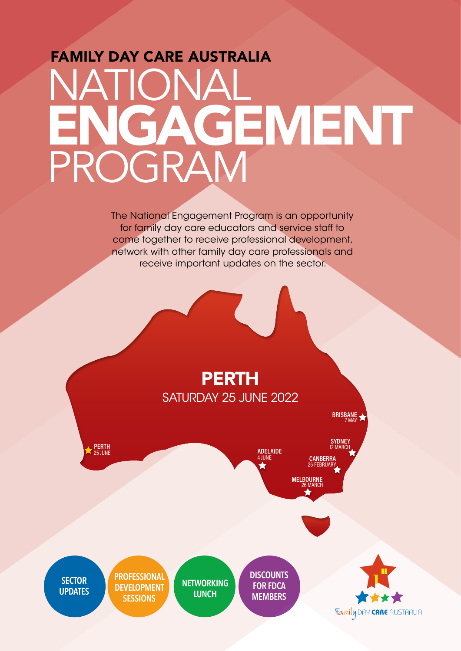## FAMILY DAY CARE AUSTRALIA NATIONAL PROGRAM ENGAGEMENT

The National Engagement Program is an opportunity for family day care educators and service staff to come together to receive professional development, network with other family day care professionals and receive important updates on the sector.